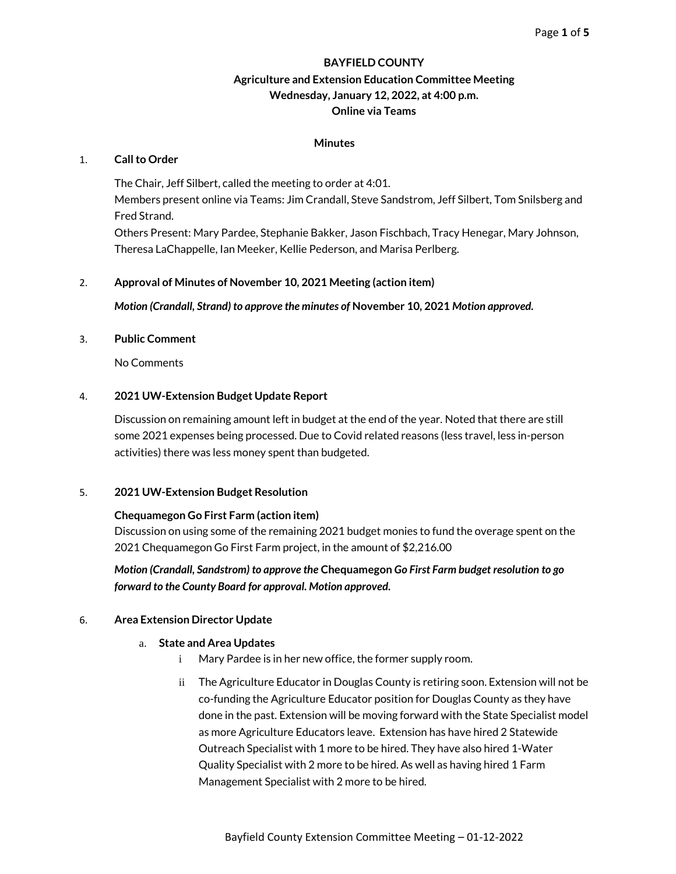### **BAYFIELD COUNTY**

# **Agriculture and Extension Education Committee Meeting Wednesday, January 12, 2022, at 4:00 p.m. Online via Teams**

### **Minutes**

#### 1. **Call to Order**

The Chair, Jeff Silbert, called the meeting to order at 4:01. Members present online via Teams: Jim Crandall, Steve Sandstrom, Jeff Silbert, Tom Snilsberg and Fred Strand. Others Present: Mary Pardee, Stephanie Bakker, Jason Fischbach, Tracy Henegar, Mary Johnson, Theresa LaChappelle, Ian Meeker, Kellie Pederson, and Marisa Perlberg.

### 2. **Approval of Minutes of November 10, 2021 Meeting (action item)**

*Motion (Crandall, Strand) to approve the minutes of* **November 10, 2021** *Motion approved.*

### 3. **Public Comment**

No Comments

### 4. **2021 UW-Extension Budget Update Report**

Discussion on remaining amount left in budget at the end of the year. Noted that there are still some 2021 expenses being processed. Due to Covid related reasons (less travel, less in-person activities) there was less money spent than budgeted.

### 5. **2021 UW-Extension Budget Resolution**

### **Chequamegon Go First Farm (action item)**

Discussion on using some of the remaining 2021 budget monies to fund the overage spent on the 2021 Chequamegon Go First Farm project, in the amount of \$2,216.00

*Motion (Crandall, Sandstrom) to approve the* **Chequamegon** *Go First Farm budget resolution to go forward to the County Board for approval. Motion approved.*

#### 6. **Area Extension Director Update**

#### a. **State and Area Updates**

- i Mary Pardee is in her new office, the former supply room.
- ii The Agriculture Educator in Douglas County is retiring soon. Extension will not be co-funding the Agriculture Educator position for Douglas County as they have done in the past. Extension will be moving forward with the State Specialist model as more Agriculture Educators leave. Extension has have hired 2 Statewide Outreach Specialist with 1 more to be hired. They have also hired 1-Water Quality Specialist with 2 more to be hired. As well as having hired 1 Farm Management Specialist with 2 more to be hired.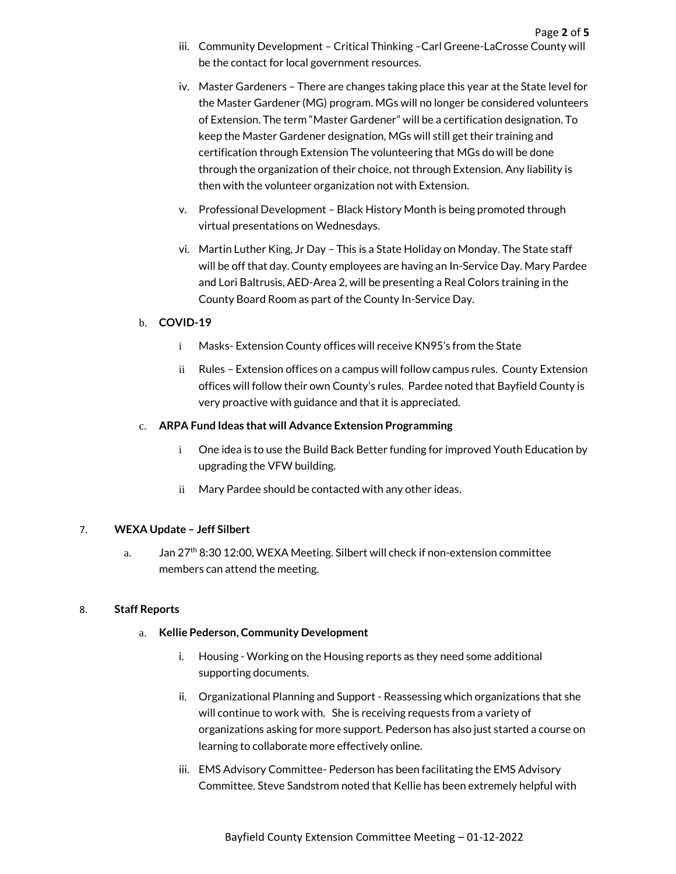- iv. Master Gardeners There are changes taking place this year at the State level for the Master Gardener (MG) program. MGs will no longer be considered volunteers of Extension. The term "Master Gardener" will be a certification designation. To keep the Master Gardener designation, MGs will still get their training and certification through Extension The volunteering that MGs do will be done through the organization of their choice, not through Extension. Any liability is then with the volunteer organization not with Extension.
- v. Professional Development Black History Month is being promoted through virtual presentations on Wednesdays.
- vi. Martin Luther King, Jr Day This is a State Holiday on Monday. The State staff will be off that day. County employees are having an In-Service Day. Mary Pardee and Lori Baltrusis, AED-Area 2, will be presenting a Real Colors training in the County Board Room as part of the County In-Service Day.

# b. **COVID-19**

- i Masks- Extension County offices will receive KN95's from the State
- ii Rules Extension offices on a campus will follow campus rules. County Extension offices will follow their own County's rules. Pardee noted that Bayfield County is very proactive with guidance and that it is appreciated.

# c. **ARPA Fund Ideas that will Advance Extension Programming**

- i One idea is to use the Build Back Better funding for improved Youth Education by upgrading the VFW building.
- ii Mary Pardee should be contacted with any other ideas.

# 7. **WEXA Update – Jeff Silbert**

a. Jan 27<sup>th</sup> 8:30 12:00, WEXA Meeting. Silbert will check if non-extension committee members can attend the meeting.

# 8. **Staff Reports**

## a. **Kellie Pederson, Community Development**

- i. Housing Working on the Housing reports as they need some additional supporting documents.
- ii. Organizational Planning and Support Reassessing which organizations that she will continue to work with. She is receiving requests from a variety of organizations asking for more support. Pederson has also just started a course on learning to collaborate more effectively online.
- iii. EMS Advisory Committee- Pederson has been facilitating the EMS Advisory Committee. Steve Sandstrom noted that Kellie has been extremely helpful with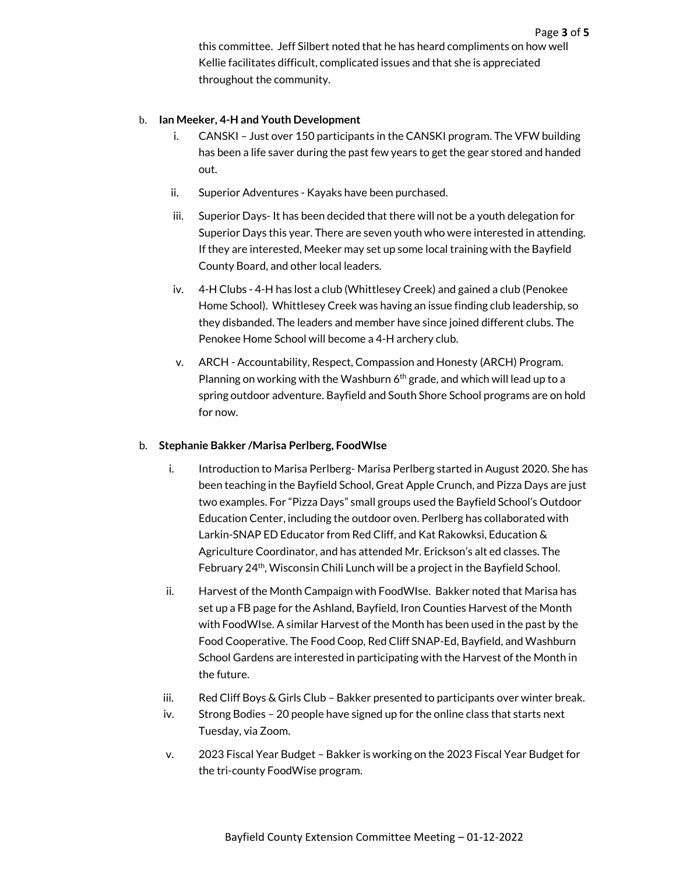this committee. Jeff Silbert noted that he has heard compliments on how well Kellie facilitates difficult, complicated issues and that she is appreciated throughout the community.

## b. **Ian Meeker, 4-H and Youth Development**

- i. CANSKI Just over 150 participants in the CANSKI program. The VFW building has been a life saver during the past few years to get the gear stored and handed out.
- ii. Superior Adventures Kayaks have been purchased.
- iii. Superior Days- It has been decided that there will not be a youth delegation for Superior Days this year. There are seven youth who were interested in attending. If they are interested, Meeker may set up some local training with the Bayfield County Board, and other local leaders.
- iv. 4-H Clubs 4-H has lost a club (Whittlesey Creek) and gained a club (Penokee Home School). Whittlesey Creek was having an issue finding club leadership, so they disbanded. The leaders and member have since joined different clubs. The Penokee Home School will become a 4-H archery club.
- v. ARCH Accountability, Respect, Compassion and Honesty (ARCH) Program. Planning on working with the Washburn  $6<sup>th</sup>$  grade, and which will lead up to a spring outdoor adventure. Bayfield and South Shore School programs are on hold for now.

### b. **Stephanie Bakker /Marisa Perlberg, FoodWIse**

- i. Introduction to Marisa Perlberg- Marisa Perlberg started in August 2020. She has been teaching in the Bayfield School, Great Apple Crunch, and Pizza Days are just two examples. For "Pizza Days" small groups used the Bayfield School's Outdoor Education Center, including the outdoor oven. Perlberg has collaborated with Larkin-SNAP ED Educator from Red Cliff, and Kat Rakowksi, Education & Agriculture Coordinator, and has attended Mr. Erickson's alt ed classes. The February 24<sup>th</sup>, Wisconsin Chili Lunch will be a project in the Bayfield School.
- ii. Harvest of the Month Campaign with FoodWIse. Bakker noted that Marisa has set up a FB page for the Ashland, Bayfield, Iron Counties Harvest of the Month with FoodWIse. A similar Harvest of the Month has been used in the past by the Food Cooperative. The Food Coop, Red Cliff SNAP-Ed, Bayfield, and Washburn School Gardens are interested in participating with the Harvest of the Month in the future.
- iii. Red Cliff Boys & Girls Club Bakker presented to participants over winter break.
- iv. Strong Bodies 20 people have signed up for the online class that starts next Tuesday, via Zoom.
- v. 2023 Fiscal Year Budget Bakker is working on the 2023 Fiscal Year Budget for the tri-county FoodWise program.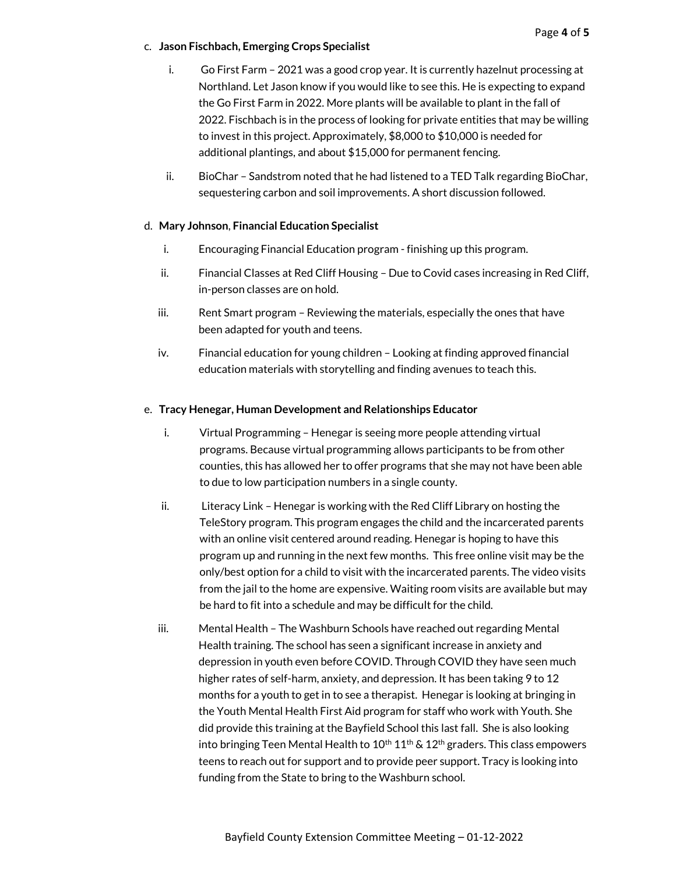## c. **Jason Fischbach, Emerging Crops Specialist**

- i. Go First Farm 2021 was a good crop year. It is currently hazelnut processing at Northland. Let Jason know if you would like to see this. He is expecting to expand the Go First Farm in 2022. More plants will be available to plant in the fall of 2022. Fischbach is in the process of looking for private entities that may be willing to invest in this project. Approximately, \$8,000 to \$10,000 is needed for additional plantings, and about \$15,000 for permanent fencing.
- ii. BioChar Sandstrom noted that he had listened to a TED Talk regarding BioChar, sequestering carbon and soil improvements. A short discussion followed.

## d. **Mary Johnson**, **Financial Education Specialist**

- i. Encouraging Financial Education program finishing up this program.
- ii. Financial Classes at Red Cliff Housing Due to Covid cases increasing in Red Cliff, in-person classes are on hold.
- iii. Rent Smart program Reviewing the materials, especially the ones that have been adapted for youth and teens.
- iv. Financial education for young children Looking at finding approved financial education materials with storytelling and finding avenues to teach this.

## e. **Tracy Henegar, Human Development and Relationships Educator**

- i. Virtual Programming Henegar is seeing more people attending virtual programs. Because virtual programming allows participants to be from other counties, this has allowed her to offer programs that she may not have been able to due to low participation numbers in a single county.
- ii. Literacy Link Henegar is working with the Red Cliff Library on hosting the TeleStory program. This program engages the child and the incarcerated parents with an online visit centered around reading. Henegar is hoping to have this program up and running in the next few months. This free online visit may be the only/best option for a child to visit with the incarcerated parents. The video visits from the jail to the home are expensive. Waiting room visits are available but may be hard to fit into a schedule and may be difficult for the child.
- iii. Mental Health The Washburn Schools have reached out regarding Mental Health training. The school has seen a significant increase in anxiety and depression in youth even before COVID. Through COVID they have seen much higher rates of self-harm, anxiety, and depression. It has been taking 9 to 12 months for a youth to get in to see a therapist. Henegar is looking at bringing in the Youth Mental Health First Aid program for staff who work with Youth. She did provide this training at the Bayfield School this last fall. She is also looking into bringing Teen Mental Health to  $10^{th} 11^{th}$  &  $12^{th}$  graders. This class empowers teens to reach out for support and to provide peer support. Tracy is looking into funding from the State to bring to the Washburn school.